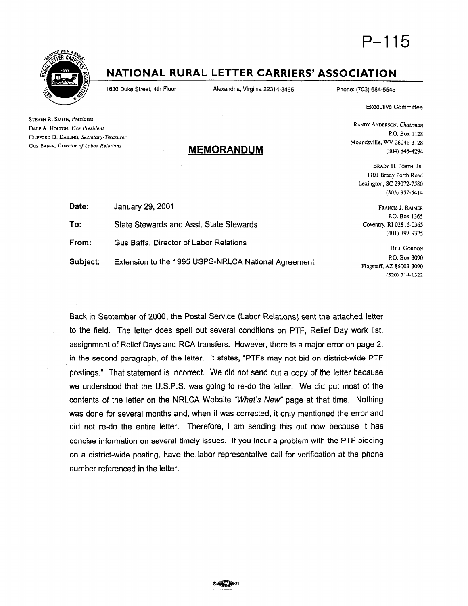



# NATIONAL RURAL LETTER CARRIERS' ASSOCIATION

1630 Duke Street, 4th Floor Alexandria, Virginia 22314-3465 Phone: (703) 664-5546

**Executive Committee** 

P.O. Box I128

(304) 845-4294

(803) 957-9414

BRADY H. PORTH. JR. 1101 Brady Porth Road Lexington, SC 29072-7580

RANDY ANDERSON, Chairman

Moundsville, WV 26041-J 128

STEVEN R. SMITH, President DALE A. HOLTON, Vice Presidenr CLIFFORD D. DAILING, Secretary-Treasurer Gus BAFFA, Director of Labor Relations

# MEMORANDUM

| Date:    | January 29, 2001                                   |
|----------|----------------------------------------------------|
| To:      | State Stewards and Asst. State Stewards            |
| From:    | Gus Baffa, Director of Labor Relations             |
| Subject: | Extension to the 1995 USPS-NRLCA National Agreemer |

FRANCIS J. RAIMER P.O. Box 1365 Coventry, RI 028 16-0365 (401) 397-932s

**BILL GORDON** P.O. Box 3090 Flagstaff, AZ 86003-3090 (520)714-1322

Back in September of 2000, the Postal Service (Labor Relations) sent the attached letter to the field. The letter does spell out several conditions on PTF, Relief Day work list, assignment of Relief Days and RCA transfers. However, there is a major error on page 2, in the second paragraph, of the letter. It states, "PTFs may not bid on district-wide PTF postings." That statement is incorrect. We did not send out a copy of the letter because we understood that the U.S.P.S. was going to re-do the letter. We did put most of the contents of the letter on the NRLCA Website "What's New" page at that time. Nothing was done for several months and, when it was corrected, it only mentioned the error and did not re-do the entire letter. Therefore, I am sending this out now because it has concise information on several timely issues. If you incur a problem with the PTF bidding on a district-wide posting, have the labor representative call for verification at the phone number referenced in the letter.

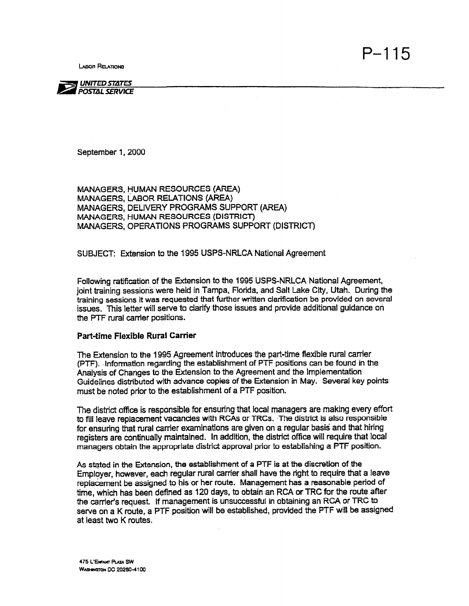**LABOR RELATIONS** 



September 1, 2000

MANAGERS, HUMAN RESOURCES (AREA) MANAGERS, LABOR RELATIONS (AREA) MANAGERS, DELIVERY PROGRAMS SUPPORT (AREA) MANAGERS, HUMAN RESOURCES (DISTRICT) MANAGERS, OPERATIONS PROGRAMS SUPPORT (DISTRICT)

SUBJECT: Extension to the 1995 USPS-NRLCA National Agreement

Following ratification of the Extension to the 1995 USPS-NRLCA National Agreement, joint training sessions were held in Tampa, Florida, and Salt Lake City, Utah. During the training sessions it was requested that further written clarification be provided on several issues. This letter will serve to clarify those issues and provide additional guidance on the PTF rural carrier positions.

#### Part-time Flexible Rural Carrier

The Extension to the 1995 Agreement introduces the part-time flexible rural carrier (PTF). .Information regarding the establishment of PTF positions can be found in the Analysis of Changes to the Extension to the Agreement and the Implementation Guidelines distributed with advance copies of the Extension in May. Several key points must be noted prior to the establishment of a PTF position.

The district office is responsible for ensuring that local managers are making every effort to fill leave replacement vacancies with RCAs or TRCs. The district is also responsible for ensuring that rural carrier examinations are given on a regular basis and that hiring registers are continually maintained. In addition, the district office will require that local managers obtain the appropriate district approval prior to establishing a PTF position.

As stated in the Extension, the establishment of a PTF is at the discretion of the Employer, however, each regular rural carrier shall have the right to require that a leave replacement be assigned to his or her route. Management has a reasonable period of time, which has been defined as 120 days, to obtain an RCA or TRC for the route after the carrier's request. If management is unsuccessful in obtaining an RCA or TRC to serve on a K mute, a PTF position will be established, provided the PTF will be assigned at least two K routes.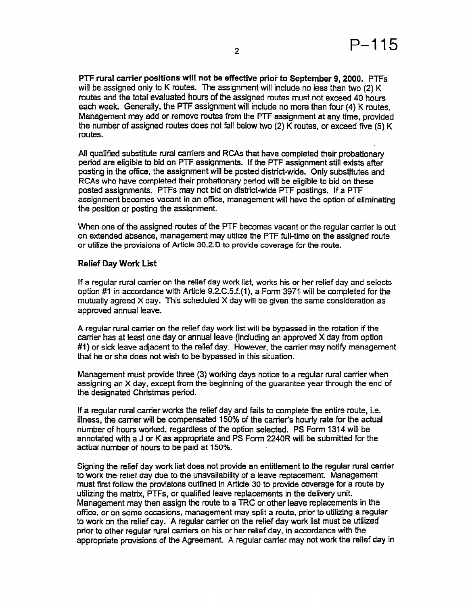PTF rural carrier positions will not be effective prior to September 9, 2000. PTFs will be assigned only to K routes. The assignment will include no less than two (2) K routes and the total evaluated hours of the assigned routes must not exceed 40 hours each week. Generally, the PTF assignment will include no more than four (4) K routes. Management may add or remove routes from the PTF assignment at any time, provided the number of assigned routes does not fall below two (2) K routes, or exceed five (5) K routes.

All qualified substitute rural carriers and RCAs that have completed their probationary period are eligible to bid on PTF assignments. If the PTF assignment still exists after posting in the office, the assignment will be posted district-wide. Only substitutes and RCAs who have completed their probationary period will be eligible to bid on these posted assignments. PTFs may not bid on district-wide PTF postings. If a PTF assignment becomes vacant in an office, management will have the option of eliminating the position or posting the assignment.

When one of the assigned routes of the PTF becomes vacant or the regular carrier is out on extended absence, management may utilize the PTF full-time on the assigned route or utilize the provisions of Article 30.2.D to provide coverage for the route.

#### Relief Day Work List

If a regular rural carrier on the relief day work list, works his or her relief day and selects option #1 in accordance with Article 9.2.C.5.f.(1), a Form 3971 will be completed for the mutually agreed X day. This scheduled X day will be given the same consideration as approved annual leave.

A regular rural carrier on the relief day work list will be bypassed in the rotation if the carrier has at least one day or annual leave (including an approved X day from option #1) or sick leave adjacent to the relief day. However, the carrier may notify management that he or she does not wish to be bypassed in this situation.

Management must provide three (3) working days notice to a regular rural carrier when assigning an X day, except from the beginning of the guarantee year through the end of the designated Christmas period.

If a regular rural carrier works the relief day and fails to complete the entire route, i.e. illness, the carrier will be compensated 150% of the carrier's hourly rate for the actual number of hours worked, regardless of the option selected. PS Form 1314 will be annotated with a J or K as appropriate and PS Form 2240R will be submitted for the actual number of hours to be paid at 150%.

Signing the relief day work list does not provide an entitlement to the regular rural carrier to work the relief day due to the unavailability of a leave replacement. Management must first follow the provisions outlined in Article 30 to provide coverage for a route by utilizing the matrix, PTFs, or qualified leave replacements in the delivery unit. Management may then assign the route to a TRC or other leave replacements in the office, or on some occasions, management may split a route, prior to utilizing a regular to work on the relief day. A regular carrier on the relief day work list must be utilized prior to other regular rural carriers on his or her relief day, in accordance with the appropriate provisions of the Agreement. A regular carrier may not work the relief day in